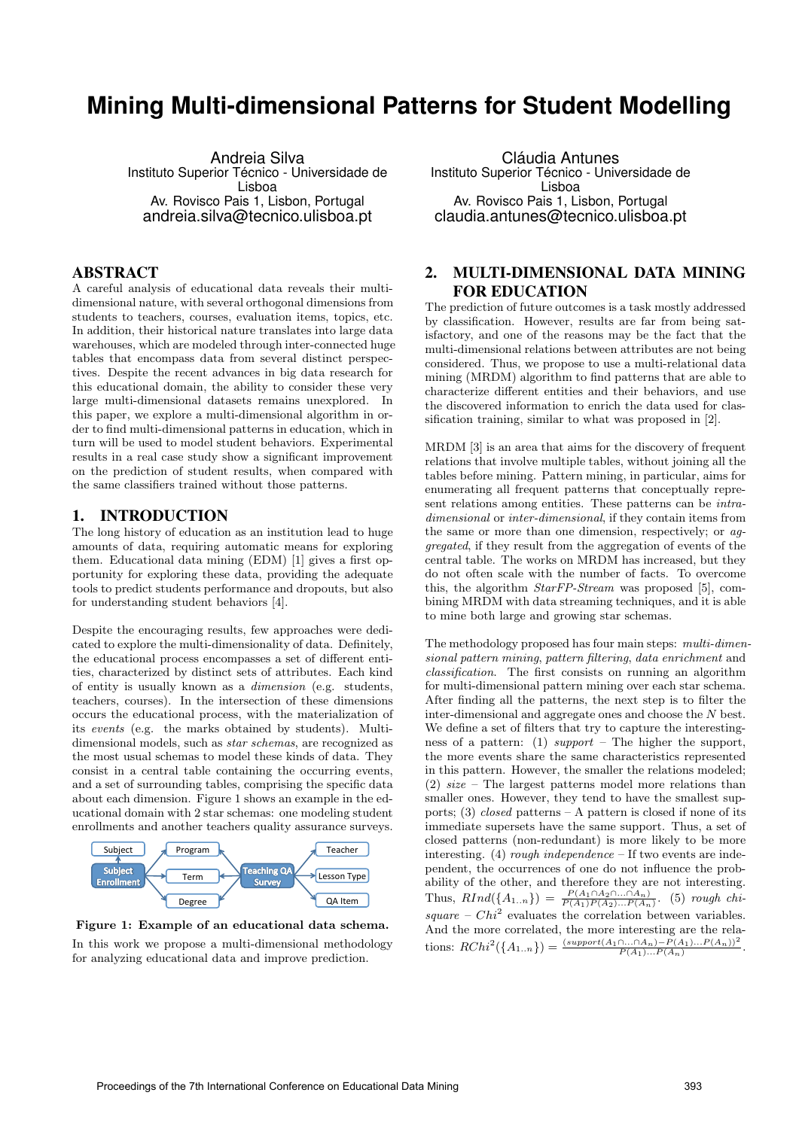# **Mining Multi-dimensional Patterns for Student Modelling**

Andreia Silva Instituto Superior Técnico - Universidade de Lisboa Av. Rovisco Pais 1, Lisbon, Portugal andreia.silva@tecnico.ulisboa.pt

## ABSTRACT

A careful analysis of educational data reveals their multidimensional nature, with several orthogonal dimensions from students to teachers, courses, evaluation items, topics, etc. In addition, their historical nature translates into large data warehouses, which are modeled through inter-connected huge tables that encompass data from several distinct perspectives. Despite the recent advances in big data research for this educational domain, the ability to consider these very large multi-dimensional datasets remains unexplored. In this paper, we explore a multi-dimensional algorithm in order to find multi-dimensional patterns in education, which in turn will be used to model student behaviors. Experimental results in a real case study show a significant improvement on the prediction of student results, when compared with the same classifiers trained without those patterns.

## 1. INTRODUCTION

The long history of education as an institution lead to huge amounts of data, requiring automatic means for exploring them. Educational data mining (EDM) [1] gives a first opportunity for exploring these data, providing the adequate tools to predict students performance and dropouts, but also for understanding student behaviors [4].

Despite the encouraging results, few approaches were dedicated to explore the multi-dimensionality of data. Definitely, the educational process encompasses a set of different entities, characterized by distinct sets of attributes. Each kind of entity is usually known as a dimension (e.g. students, teachers, courses). In the intersection of these dimensions occurs the educational process, with the materialization of its events (e.g. the marks obtained by students). Multidimensional models, such as star schemas, are recognized as the most usual schemas to model these kinds of data. They consist in a central table containing the occurring events, and a set of surrounding tables, comprising the specific data about each dimension. Figure 1 shows an example in the educational domain with 2 star schemas: one modeling student enrollments and another teachers quality assurance surveys.



Figure 1: Example of an educational data schema. In this work we propose a multi-dimensional methodology for analyzing educational data and improve prediction.

Cláudia Antunes Instituto Superior Técnico - Universidade de Lisboa Av. Rovisco Pais 1, Lisbon, Portugal claudia.antunes@tecnico.ulisboa.pt

## 2. MULTI-DIMENSIONAL DATA MINING FOR EDUCATION

The prediction of future outcomes is a task mostly addressed by classification. However, results are far from being satisfactory, and one of the reasons may be the fact that the multi-dimensional relations between attributes are not being considered. Thus, we propose to use a multi-relational data mining (MRDM) algorithm to find patterns that are able to characterize different entities and their behaviors, and use the discovered information to enrich the data used for classification training, similar to what was proposed in [2].

MRDM [3] is an area that aims for the discovery of frequent relations that involve multiple tables, without joining all the tables before mining. Pattern mining, in particular, aims for enumerating all frequent patterns that conceptually represent relations among entities. These patterns can be *intra*dimensional or inter-dimensional, if they contain items from the same or more than one dimension, respectively; or aggregated, if they result from the aggregation of events of the central table. The works on MRDM has increased, but they do not often scale with the number of facts. To overcome this, the algorithm StarFP-Stream was proposed [5], combining MRDM with data streaming techniques, and it is able to mine both large and growing star schemas.

The methodology proposed has four main steps: multi-dimensional pattern mining, pattern filtering, data enrichment and classification. The first consists on running an algorithm for multi-dimensional pattern mining over each star schema. After finding all the patterns, the next step is to filter the inter-dimensional and aggregate ones and choose the N best. We define a set of filters that try to capture the interestingness of a pattern: (1) support – The higher the support, the more events share the same characteristics represented in this pattern. However, the smaller the relations modeled; (2) size – The largest patterns model more relations than smaller ones. However, they tend to have the smallest supports; (3) *closed* patterns  $- A$  pattern is closed if none of its immediate supersets have the same support. Thus, a set of closed patterns (non-redundant) is more likely to be more interesting. (4) rough independence  $-$  If two events are independent, the occurrences of one do not influence the probability of the other, and therefore they are not interesting. Thus,  $RInd({A_{1..n}}) = \frac{P(A_1 \cap A_2 \cap ... \cap A_n)}{P(A_1)P(A_2)...P(A_n)}$ . (5) rough chi $square - Chi^2$  evaluates the correlation between variables. And the more correlated, the more interesting are the relations:  $RChi^{2}(\lbrace A_{1..n}\rbrace) = \frac{(support(A_{1} \cap ... \cap A_{n}) - P(A_{1})...P(A_{n}))^{2}}{P(A_{1})...P(A_{n})}.$